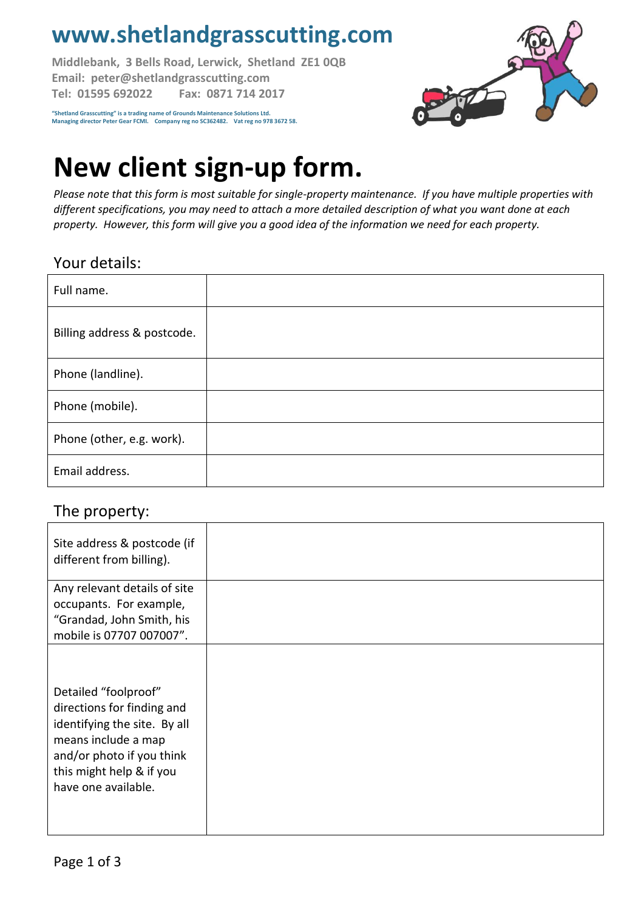**www.shetlandgrasscutting.com**

**Middlebank, 3 Bells Road, Lerwick, Shetland ZE1 0QB Email: peter@shetlandgrasscutting.com Tel: 01595 692022 Fax: 0871 714 2017**

**"Shetland Grasscutting" is a trading name of Grounds Maintenance Solutions Ltd. Managing director Peter Gear FCMI. Company reg no SC362482. Vat reg no 978 3672 58.**



# **New client sign-up form.**

*Please note that this form is most suitable for single-property maintenance. If you have multiple properties with different specifications, you may need to attach a more detailed description of what you want done at each property. However, this form will give you a good idea of the information we need for each property.*

### Your details:

| Full name.                  |  |
|-----------------------------|--|
| Billing address & postcode. |  |
| Phone (landline).           |  |
| Phone (mobile).             |  |
| Phone (other, e.g. work).   |  |
| Email address.              |  |

### The property:

| Site address & postcode (if<br>different from billing).                                                                                                                                   |  |
|-------------------------------------------------------------------------------------------------------------------------------------------------------------------------------------------|--|
| Any relevant details of site                                                                                                                                                              |  |
| occupants. For example,                                                                                                                                                                   |  |
| "Grandad, John Smith, his                                                                                                                                                                 |  |
| mobile is 07707 007007".                                                                                                                                                                  |  |
| Detailed "foolproof"<br>directions for finding and<br>identifying the site. By all<br>means include a map<br>and/or photo if you think<br>this might help & if you<br>have one available. |  |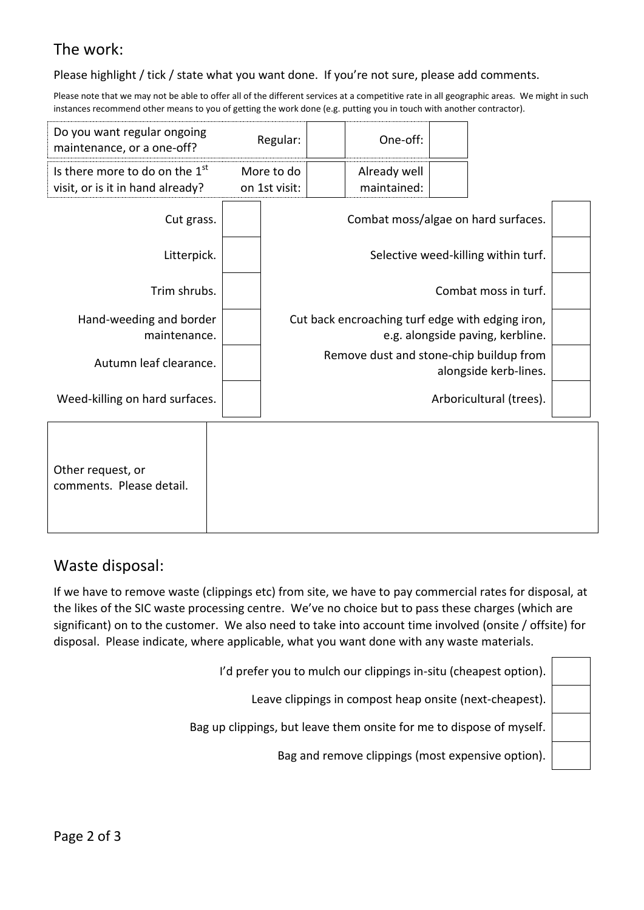# The work:

Please highlight / tick / state what you want done. If you're not sure, please add comments.

Please note that we may not be able to offer all of the different services at a competitive rate in all geographic areas. We might in such instances recommend other means to you of getting the work done (e.g. putting you in touch with another contractor).

| Do you want regular ongoing<br>maintenance, or a one-off?          |                                                                                      | Regular:                                                         | One-off:                    |  |                         |  |
|--------------------------------------------------------------------|--------------------------------------------------------------------------------------|------------------------------------------------------------------|-----------------------------|--|-------------------------|--|
| Is there more to do on the 1st<br>visit, or is it in hand already? |                                                                                      | More to do<br>on 1st visit:                                      | Already well<br>maintained: |  |                         |  |
| Cut grass.                                                         |                                                                                      | Combat moss/algae on hard surfaces.                              |                             |  |                         |  |
| Litterpick.                                                        | Selective weed-killing within turf.                                                  |                                                                  |                             |  |                         |  |
| Trim shrubs.                                                       |                                                                                      | Combat moss in turf.                                             |                             |  |                         |  |
| Hand-weeding and border<br>maintenance.                            | Cut back encroaching turf edge with edging iron,<br>e.g. alongside paving, kerbline. |                                                                  |                             |  |                         |  |
| Autumn leaf clearance.                                             |                                                                                      | Remove dust and stone-chip buildup from<br>alongside kerb-lines. |                             |  |                         |  |
| Weed-killing on hard surfaces.                                     |                                                                                      |                                                                  |                             |  | Arboricultural (trees). |  |
| Other request, or<br>comments. Please detail.                      |                                                                                      |                                                                  |                             |  |                         |  |

## Waste disposal:

If we have to remove waste (clippings etc) from site, we have to pay commercial rates for disposal, at the likes of the SIC waste processing centre. We've no choice but to pass these charges (which are significant) on to the customer. We also need to take into account time involved (onsite / offsite) for disposal. Please indicate, where applicable, what you want done with any waste materials.

I'd prefer you to mulch our clippings in-situ (cheapest option).

Leave clippings in compost heap onsite (next-cheapest).

Bag up clippings, but leave them onsite for me to dispose of myself.

Bag and remove clippings (most expensive option).